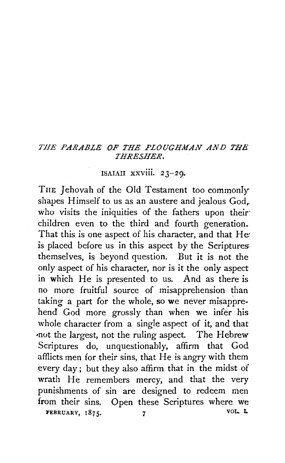## THE PARABLE OF THE PLOUGHMAN AND THE *THRESHER.*

## ISAIAH XXVlll. 23-29.

THE Jehovah of the Old Testament too commonly shapes Himself to us as an austere and jealous God,. who visits the iniquities of the fathers upon their children even to the third and fourth generation. That this is one aspect of his character, and that He is placed before us in this aspect by the Scriptures: themselves, is beyond question. But it is not the only aspect of his character, nor is it the only aspect in which He is presented to us. And as there is no more fruitful source of misapprehension than taking a part for the whole, so we never misapprehend God more grossly than when we infer his whole character from a single aspect of it, and that •not the largest, not the ruling aspect. The Hebrew Scriptures do, unquestionably, affirm that God afflicts men for their sins, that He is angry with them every day; but they also affirm that in the midst of wrath He remembers mercy, and that the very punishments of sin are designed to redeem men from their sins. Open these Scriptures where we FEBRUARY,  $1875.$  7 VOL. L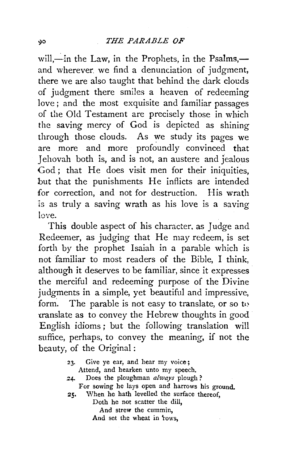will,—in the Law, in the Prophets, in the Psalms, and wherever we find a denunciation of judgment, there we are also taught that behind the dark clouds of judgment there smiles a heaven of redeeming love ; and the most exquisite and familiar passages of the Old Testament are precisely those in which the saving mercy of God is depicted as shining through those clouds. As we study its pages we are more and more profoundly convinced that Jehovah both is, and is not, an austere and jealous God; that He does visit men for their iniquities. but that the punishments He inflicts are intended for correction, and not for destruction. His wrath 'is as truly a saving wrath as his love is a saving **love.** 

This double aspect of his character. as Judge and Redeemer, as judging that He may redeem, is set forth by the prophet Isaiah in a parable which is not familiar to most readers of the Bible, I think, although it deserves to be familiar, since it expresses the merciful and redeeming purpose of the Divine judgments in a simple, yet beautiful and impressive, form. The parable is not easy to translate, or so to -cranslate as to convey the Hebrew thoughts in good English idioms; but the following translation will suffice, perhaps, to convey the meaning, if not the beauty, of the Original :

> 23. Give ye ear, and hear my voice; Attend, and hearken unto my speech. *24-* Does the ploughman *always* plough ? For sowing he lays open and harrows his ground. 25. When he hath levelled the surface thereof, Doth he not scatter the dill, And strew the cummin, And set the wheat in *rows*.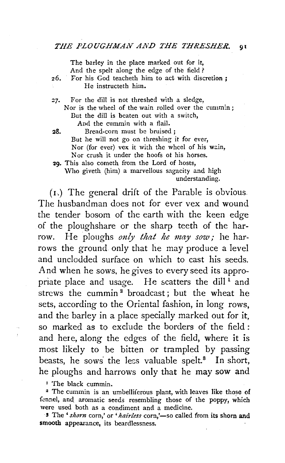The barley in the place marked out for it, And the spelt along the edge of the field ?

*z6.* For his God teacheth him to act with discretion ; He instructeth him.

- z7. For the dill is not threshed with a sledge, Nor is the wheel of the wain rolled over the cummin; But the dill is beaten out with a switch, And the cummin with a flail.
- 28. Bread-corn must be bruised ; But he will not go on threshing it for ever, Nor (for ever) vex it with the wheel of his wain, Nor crush it under the hoofs of his horses.

29. This also cometh from the Lord of hosts, Who giveth (him) a marvellous sagacity and high understanding.

( 1 .) The general drift of the Parable is obvious. The husbandman does not for ever vex and wound the tender bosom of the earth with the keen edge of the ploughshare or the sharp teeth of the harrow. He ploughs *only that he may sow;* he harrows the ground only that he may produce a level and unclodded surface on which to cast his seeds. And when he sows, he gives to every seed its appropriate place and usage. He scatters the dill $<sup>1</sup>$  and</sup> strews the cummin<sup>2</sup> broadcast; but the wheat he sets, according to the Oriental fashion, in long rows, and the barley in a place specially marked out for it, so marked as to exclude the borders of the field : and here, along the edges of the field, where it is most likely to be bitten or trampled by passing beasts, he sows the less valuable spelt. $8$  In short, he ploughs and harrows only that he may sow and

<sup>1</sup> The black cummin.<br><sup>2</sup> The cummin is an umbelliferous plant, with leaves like those of fennel, and aromatic seeds resembling those of the poppy, which were used both as a condiment and a medicine.

<sup>3</sup> The 'shorn corn,' or 'hairless corn,'-so called from its shorn and smooth appearance, its beardlessness.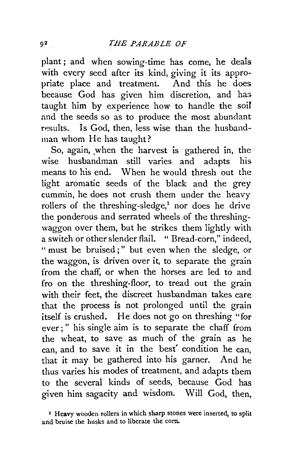plant; and when sowing-time has come, he deals with every seed after its kind, giving it its appro-<br>priate place and treatment. And this he does priate place and treatment. because God has given him discretion, and has taught him by experience how to handle the *soil*  and the seeds so as to produce the most abundant results. Is God, then, less wise than the husbandman whom He has taught?

So, again, when the harvest is gathered in, the wise husbandman still varies and adapts his means to his end. When he would thresh out the light aromatic seeds of the black and the grey cummin, he does not crush them under the heavy rollers of the threshing-sledge,<sup>1</sup> nor does he drive the ponderous and serrated wheels of the threshingwaggon over them, but he strikes them lightly with a switch or other slender flail. " Bread-corn," indeed, "must be bruised;" but even when the sledge, or the waggon, is driven over it, to separate the grain from the chaff, or when the horses are led to and fro on the threshing-floor, to tread out the grain with their feet, the discreet husbandman takes care that the process is not prolonged until the grain itself is crushed. He does not go on threshing "for ever ; " his single aim is to separate the chaff from the wheat, to save as much of the grain as he can, and to save it in the best' condition he can, that it may be gathered into his garner. And he thus varies his modes of treatment, and adapts them to the several kinds of seeds, because God has given him sagacity and wisdom. Will God, then,

I Heavy wooden rollers in which sharp stones were inserted, to split and bruise the husks and to liberate the corn.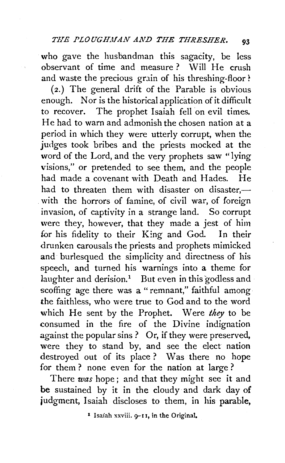who gave the husbandman this sagacity, be less observant of time and measure? Will He crush and waste the precious grain of his threshing-floor *?* 

(2.) The general drift of the Parable is obvious enough. Nor is the historical application of it difficult to recover. The prophet Isaiah fell on evil times. He had to warn and admonish the chosen nation at a period in which they were utterly corrupt, when the judges took bribes and the priests mocked at the word of the Lord, and the very prophets saw "lying visions," or pretended to see them, and the people had made a covenant with Death and Hades. He had to threaten them with disaster on disaster. $$ with the horrors of famine, of civil war, of foreign invasion, of captivity in a strange land. So corrupt were they, however, that they made a jest of him for his fidelity to their King and God. In their drunken carousals the priests and prophets mimicked and burlesqued the simplicity and directness of his speech, and turned his warnings into a theme for laughter and derision.<sup>1</sup> But even in this godless and scoffing age there was a "remnant," faithful among the faithless, who were true to God and to the word which He sent by the Prophet. Were *they* to be consumed in the fire of the Divine indignation against the popular sins ? Or, if they were preserved, were they to stand by, and see the elect nation destroyed out of its place ? Was there no hope for them ? none even for the nation at large ?

There *was* hope; and that they might see it and be sustained by it in the cloudy and dark day of judgment, Isaiah discloses to them, in his parable,

<sup>1</sup> Isaiah xxviii.  $9 - 1$ , in the Original.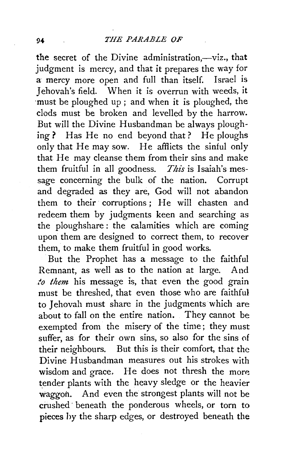the secret of the Divine administration,-viz., that judgment is mercy, and that it prepares the way for a mercy more open and full than itself. Israel is Jehovah's field. When it is overrun with weeds, it ·must be ploughed up ; and when it is ploughed, the clods must be broken and levelled by the harrow. But will the Divine Husbandman be always ploughing? Has He no end beyond that? He ploughs only that He may sow. He afflicts the sinful only that He may cleanse them from their sins and make them fruitful in all goodness. *This* is Isaiah's message concerning the bulk of the nation. Corrupt and degraded as they are, God will not abandon them to their corruptions; He will chasten and redeem them by judgments keen and searching as the ploughshare : the calamities which are coming upon them are designed to correct them, to recover them, to make them fruitful in good works.

But the Prophet has a message to the faithful Remnant, as well as to the nation at large. And *to them* his message is, that even the good grain must be threshed, that even those who are faithful to Iehovah must share in the judgments which are about to fall on the entire nation. They cannot be exempted from the misery of the time; they must suffer, as for their own sins, so also for the sins of their neighbours. But this is their comfort, that the Divine Husbandman measures out his strokes with wisdom and grace. He does not thresh the more tender plants with the heavy sledge or the heavier waggon. And even the strongest plants will not be crushed. beneath the ponderous wheels, or torn to pieces hy the sharp edges, or destroyed beneath the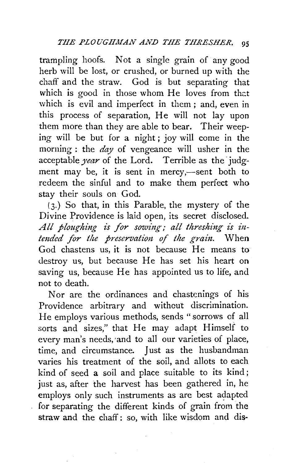trampling hoofs. Not a single grain of any good herb will be lost, or crushed, or burned up with the chaff and the straw. God is but separating that which is good in those whom  $He$  loves from that which is evil and imperfect in them; and, even in this process of separation, He will not lay upon them more than they are able to bear. Their weeping will be but for a night ; joy will come in the morning : the *day* of vengeance will usher in the acceptable *year* of the Lord. Terrible as the judgment may be, it is sent in mercy,—sent both to redeem the sinful and to make them perfect who stay their souls on God.

 $(3.)$  So that, in this Parable, the mystery of the Divine Providence is laid open, its secret disclosed. All ploughing is for sowing; all threshing is in*tended for the preservation of the grain*. When God chastens us, it is not because He means to destroy us, but because He has set his heart on saving us, because He has appointed us to life, and not to death.

Nor are the ordinances and chastcnings of his Providence arbitrary and without discrimination. He employs various methods, sends "sorrows of all sorts and sizes," that He may adapt Himself to every man's needs, 'and to all our varieties of place, time, and circumstance. Just as the husbandman varies his treatment of the soil, and allots to each kind of seed a soil and place suitable to its kind ; just as, after the harvest has been gathered in, he employs only such instruments as are best adapted for separating the different kinds of grain from the straw and the chaff: so, with like wisdom and dis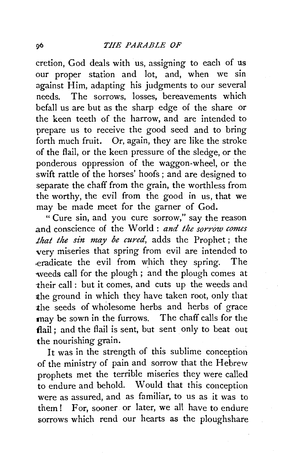cretion, God deals with us, assigning to each of us our proper station and lot, and, when we sin against Him, adapting his judgments to our several needs. The sorrows, losses, bereavements which befall us are but as the sharp edge of the share or the keen teeth of the harrow, and are intended to prepare us to receive the good seed and to bring forth much fruit. Or, again, they are like the stroke of the flail, or the keen pressure of the sledge, or the ponderous oppression of the waggon-wheel, or the swift rattle of the horses' hoofs ; and are designed to separate the chaff from the grain, the worthless from the worthy, the evil from the good in us, that we may be made meet for the garner of God.

" Cure sin, and you cure sorrow," say the reason and conscience of the World : and the sorrow comes *that the sin may be cured,* adds the Prophet ; the very miseries that spring from evil are intended to .eradicate the evil from w\_hich they spring. The •weeds call for the plough ; and the plough comes at their call : but it comes, and cuts up the weeds and the ground in which they have taken root, only that the seeds of wholesome herbs and herbs of grace may be sown in the furrows. The chaff calls for the flail: and the flail is sent, but sent only to beat out the nourishing grain.

It was in the strength of this sublime conception of the ministry of pain and sorrow that the Hebrew prophets met the terrible miseries they were called to endure and behold. Would that this conception were as assured, and as familiar, to us as it was to them! For, sooner or later, we all have to endure sorrows which rend our hearts as the ploughshare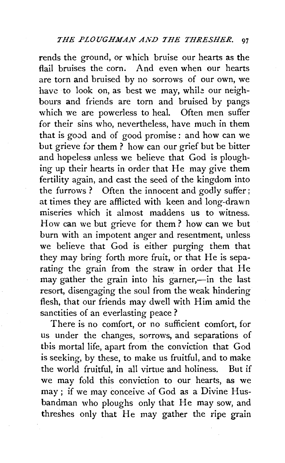rends the ground, or which bruise our hearts as the flail bruises the corn. And even when our hearts are torn and bruised by no sorrows of our own, we have to look on, as best we may, while our neighbours and friends are torn and bruised by pangs which we are powerless to heal. Often men suffer for their sins who, nevertheless, have much in them that is good and of good promise: and how can we but grieve for them ? how can our grief but be bitter and hopeless unless we believe that God is ploughing up their hearts in order that He may give them fertility again, and cast the seed of the kingdom into the furrows ? Often the innocent and godly suffer; at times they are afflicted with keen and long-drawn miseries which it almost maddens us to witness. How can we but grieve for them? how can we but burn with an impotent anger and resentment, unless we believe that God is either purging them that they may bring forth more fruit, or that He is separating the grain from the straw in order that He may gather the grain into his garner,-in the last resort, disengaging the soul from the weak hindering flesh, that our friends may dwell with Him amid the sanctities of an everlasting peace?

There is no comfort, or no sufficient comfort, for us under the changes, sorrows, and separations of this mortal life, apart from the conviction that God is seeking, by these, to make us fruitful, and to make the world fruitful, in all virtue and holiness. But if we may fold this conviction to our hearts, as we may; if we may conceive of God as a Divine Husbandman who ploughs only that He may sow, and threshes only that He may gather the ripe grain